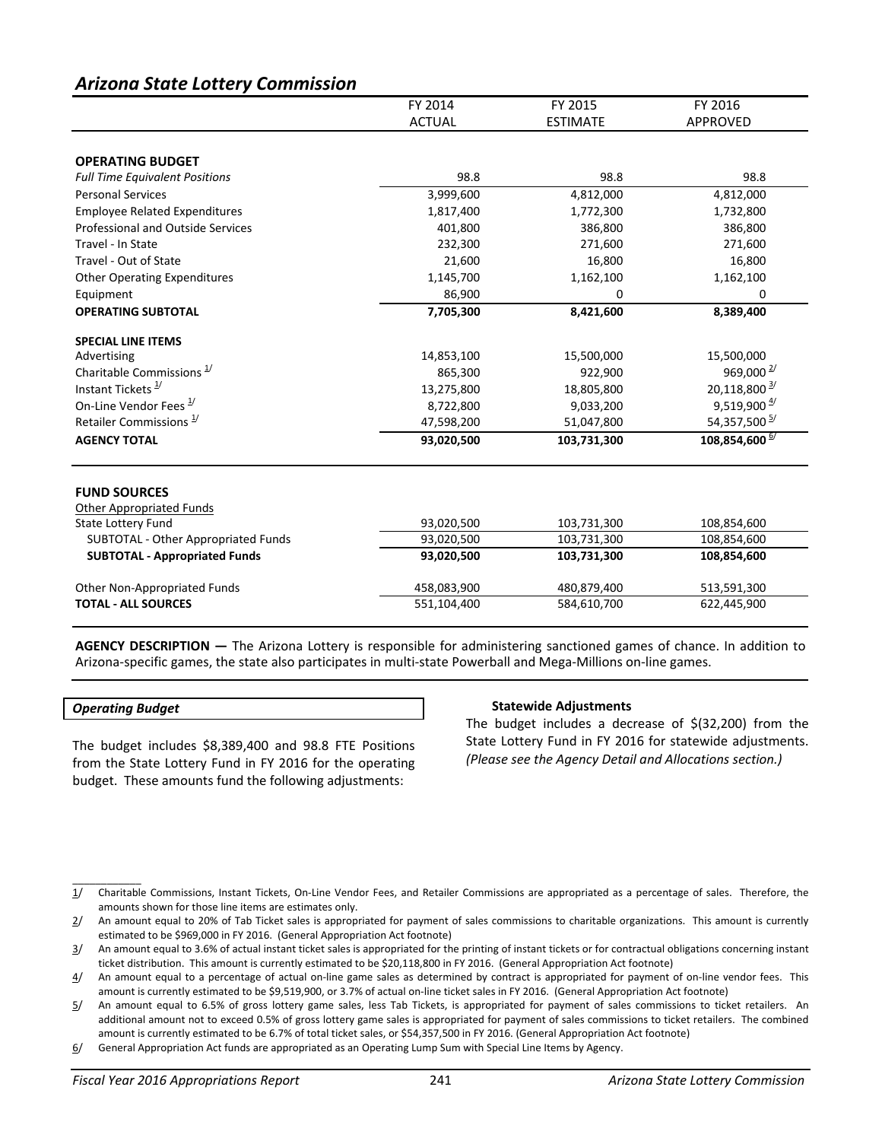# *Arizona State Lottery Commission*

|                                                              | FY 2014       | FY 2015         | FY 2016                    |
|--------------------------------------------------------------|---------------|-----------------|----------------------------|
|                                                              | <b>ACTUAL</b> | <b>ESTIMATE</b> | <b>APPROVED</b>            |
|                                                              |               |                 |                            |
| <b>OPERATING BUDGET</b>                                      |               |                 |                            |
| <b>Full Time Equivalent Positions</b>                        | 98.8          | 98.8            | 98.8                       |
| <b>Personal Services</b>                                     | 3,999,600     | 4,812,000       | 4,812,000                  |
| <b>Employee Related Expenditures</b>                         | 1,817,400     | 1,772,300       | 1,732,800                  |
| <b>Professional and Outside Services</b>                     | 401,800       | 386,800         | 386,800                    |
| Travel - In State                                            | 232,300       | 271,600         | 271,600                    |
| Travel - Out of State                                        | 21,600        | 16,800          | 16,800                     |
| <b>Other Operating Expenditures</b>                          | 1,145,700     | 1,162,100       | 1,162,100                  |
| Equipment                                                    | 86,900        | 0               | 0                          |
| <b>OPERATING SUBTOTAL</b>                                    | 7,705,300     | 8,421,600       | 8,389,400                  |
| <b>SPECIAL LINE ITEMS</b>                                    |               |                 |                            |
| Advertising                                                  | 14,853,100    | 15,500,000      | 15,500,000                 |
| Charitable Commissions <sup>1/</sup>                         | 865,300       | 922,900         | 969,000 $\frac{2}{3}$      |
| Instant Tickets <sup>1/</sup>                                | 13,275,800    | 18,805,800      | 20,118,800 <sup>3/</sup>   |
| On-Line Vendor Fees <sup>1/</sup>                            | 8,722,800     | 9,033,200       | $9,519,900\frac{4}{1}$     |
| Retailer Commissions <sup>1/</sup>                           | 47,598,200    | 51,047,800      | 54,357,500 <sup>5/</sup>   |
| <b>AGENCY TOTAL</b>                                          | 93,020,500    | 103,731,300     | 108,854,600 <sup>6/</sup>  |
|                                                              |               |                 |                            |
| <b>FUND SOURCES</b>                                          |               |                 |                            |
| <b>Other Appropriated Funds</b><br><b>State Lottery Fund</b> | 93,020,500    | 103,731,300     |                            |
| SUBTOTAL - Other Appropriated Funds                          | 93,020,500    | 103,731,300     | 108,854,600<br>108,854,600 |
|                                                              | 93,020,500    |                 |                            |
| <b>SUBTOTAL - Appropriated Funds</b>                         |               | 103,731,300     | 108,854,600                |
| Other Non-Appropriated Funds                                 | 458,083,900   | 480,879,400     | 513,591,300                |
| <b>TOTAL - ALL SOURCES</b>                                   | 551,104,400   | 584,610,700     | 622,445,900                |

**AGENCY DESCRIPTION —** The Arizona Lottery is responsible for administering sanctioned games of chance. In addition to Arizona-specific games, the state also participates in multi-state Powerball and Mega-Millions on-line games.

### *Operating Budget*

 $\overline{\phantom{a}}$  . The set of the set of the set of the set of the set of the set of the set of the set of the set of the set of the set of the set of the set of the set of the set of the set of the set of the set of the set o

The budget includes \$8,389,400 and 98.8 FTE Positions from the State Lottery Fund in FY 2016 for the operating budget. These amounts fund the following adjustments:

#### **Statewide Adjustments**

The budget includes a decrease of \$(32,200) from the State Lottery Fund in FY 2016 for statewide adjustments. *(Please see the Agency Detail and Allocations section.)*

1/ Charitable Commissions, Instant Tickets, On-Line Vendor Fees, and Retailer Commissions are appropriated as a percentage of sales. Therefore, the amounts shown for those line items are estimates only.

 $2/$  An amount equal to 20% of Tab Ticket sales is appropriated for payment of sales commissions to charitable organizations. This amount is currently estimated to be \$969,000 in FY 2016. (General Appropriation Act footnote)

<sup>3/</sup> An amount equal to 3.6% of actual instant ticket sales is appropriated for the printing of instant tickets or for contractual obligations concerning instant ticket distribution. This amount is currently estimated to be \$20,118,800 in FY 2016. (General Appropriation Act footnote)

<sup>4/</sup> An amount equal to a percentage of actual on-line game sales as determined by contract is appropriated for payment of on-line vendor fees. This amount is currently estimated to be \$9,519,900, or 3.7% of actual on-line ticket sales in FY 2016. (General Appropriation Act footnote)

<sup>5/</sup> An amount equal to 6.5% of gross lottery game sales, less Tab Tickets, is appropriated for payment of sales commissions to ticket retailers. An additional amount not to exceed 0.5% of gross lottery game sales is appropriated for payment of sales commissions to ticket retailers. The combined amount is currently estimated to be 6.7% of total ticket sales, or \$54,357,500 in FY 2016. (General Appropriation Act footnote)

<sup>6/</sup> General Appropriation Act funds are appropriated as an Operating Lump Sum with Special Line Items by Agency.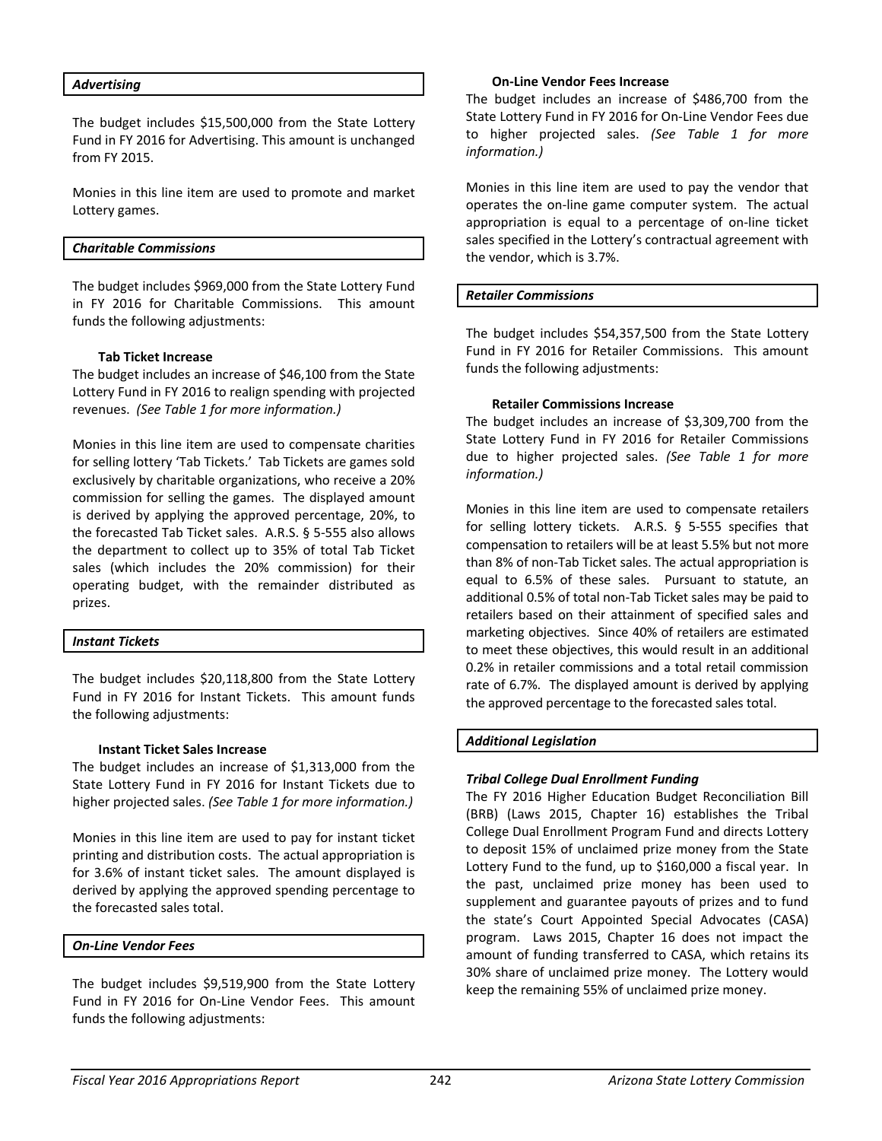#### *Advertising*

The budget includes \$15,500,000 from the State Lottery Fund in FY 2016 for Advertising. This amount is unchanged from FY 2015.

Monies in this line item are used to promote and market Lottery games.

#### *Charitable Commissions*

The budget includes \$969,000 from the State Lottery Fund in FY 2016 for Charitable Commissions. This amount funds the following adjustments:

#### **Tab Ticket Increase**

The budget includes an increase of \$46,100 from the State Lottery Fund in FY 2016 to realign spending with projected revenues. *(See Table 1 for more information.)*

Monies in this line item are used to compensate charities for selling lottery 'Tab Tickets.' Tab Tickets are games sold exclusively by charitable organizations, who receive a 20% commission for selling the games. The displayed amount is derived by applying the approved percentage, 20%, to the forecasted Tab Ticket sales. A.R.S. § 5-555 also allows the department to collect up to 35% of total Tab Ticket sales (which includes the 20% commission) for their operating budget, with the remainder distributed as prizes.

### *Instant Tickets*

The budget includes \$20,118,800 from the State Lottery Fund in FY 2016 for Instant Tickets. This amount funds the following adjustments:

#### **Instant Ticket Sales Increase**

The budget includes an increase of \$1,313,000 from the State Lottery Fund in FY 2016 for Instant Tickets due to higher projected sales. *(See Table 1 for more information.)* 

Monies in this line item are used to pay for instant ticket printing and distribution costs. The actual appropriation is for 3.6% of instant ticket sales. The amount displayed is derived by applying the approved spending percentage to the forecasted sales total.

### *On-Line Vendor Fees*

The budget includes \$9,519,900 from the State Lottery Fund in FY 2016 for On-Line Vendor Fees. This amount funds the following adjustments:

#### **On-Line Vendor Fees Increase**

The budget includes an increase of \$486,700 from the State Lottery Fund in FY 2016 for On-Line Vendor Fees due to higher projected sales. *(See Table 1 for more information.)*

Monies in this line item are used to pay the vendor that operates the on-line game computer system. The actual appropriation is equal to a percentage of on-line ticket sales specified in the Lottery's contractual agreement with the vendor, which is 3.7%.

### *Retailer Commissions*

The budget includes \$54,357,500 from the State Lottery Fund in FY 2016 for Retailer Commissions. This amount funds the following adjustments:

#### **Retailer Commissions Increase**

The budget includes an increase of \$3,309,700 from the State Lottery Fund in FY 2016 for Retailer Commissions due to higher projected sales. *(See Table 1 for more information.)*

Monies in this line item are used to compensate retailers for selling lottery tickets. A.R.S. § 5-555 specifies that compensation to retailers will be at least 5.5% but not more than 8% of non-Tab Ticket sales. The actual appropriation is equal to 6.5% of these sales. Pursuant to statute, an additional 0.5% of total non-Tab Ticket sales may be paid to retailers based on their attainment of specified sales and marketing objectives. Since 40% of retailers are estimated to meet these objectives, this would result in an additional 0.2% in retailer commissions and a total retail commission rate of 6.7%. The displayed amount is derived by applying the approved percentage to the forecasted sales total.

### *Additional Legislation*

### *Tribal College Dual Enrollment Funding*

The FY 2016 Higher Education Budget Reconciliation Bill (BRB) (Laws 2015, Chapter 16) establishes the Tribal College Dual Enrollment Program Fund and directs Lottery to deposit 15% of unclaimed prize money from the State Lottery Fund to the fund, up to \$160,000 a fiscal year. In the past, unclaimed prize money has been used to supplement and guarantee payouts of prizes and to fund the state's Court Appointed Special Advocates (CASA) program. Laws 2015, Chapter 16 does not impact the amount of funding transferred to CASA, which retains its 30% share of unclaimed prize money. The Lottery would keep the remaining 55% of unclaimed prize money.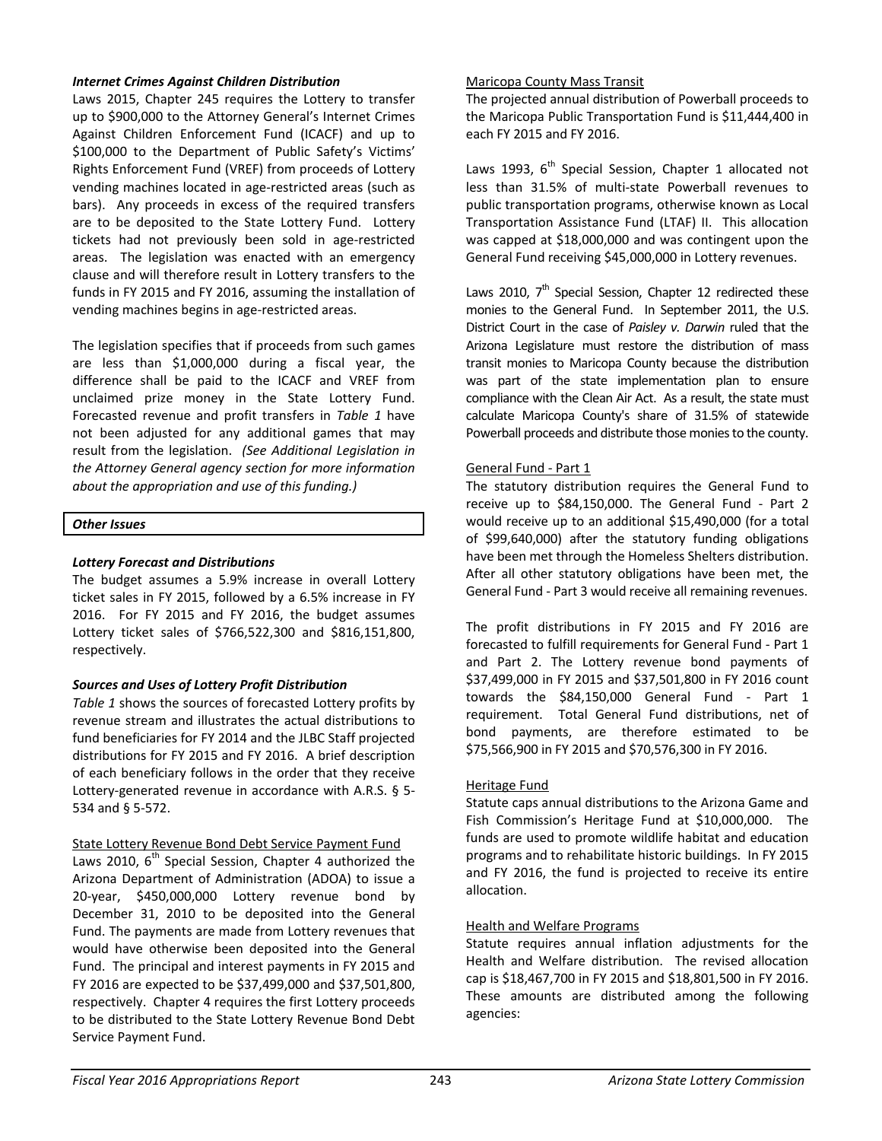### *Internet Crimes Against Children Distribution*

Laws 2015, Chapter 245 requires the Lottery to transfer up to \$900,000 to the Attorney General's Internet Crimes Against Children Enforcement Fund (ICACF) and up to \$100,000 to the Department of Public Safety's Victims' Rights Enforcement Fund (VREF) from proceeds of Lottery vending machines located in age-restricted areas (such as bars). Any proceeds in excess of the required transfers are to be deposited to the State Lottery Fund. Lottery tickets had not previously been sold in age-restricted areas. The legislation was enacted with an emergency clause and will therefore result in Lottery transfers to the funds in FY 2015 and FY 2016, assuming the installation of vending machines begins in age-restricted areas.

The legislation specifies that if proceeds from such games are less than \$1,000,000 during a fiscal year, the difference shall be paid to the ICACF and VREF from unclaimed prize money in the State Lottery Fund. Forecasted revenue and profit transfers in *Table 1* have not been adjusted for any additional games that may result from the legislation. *(See Additional Legislation in the Attorney General agency section for more information about the appropriation and use of this funding.)* 

### *Other Issues*

# *Lottery Forecast and Distributions*

The budget assumes a 5.9% increase in overall Lottery ticket sales in FY 2015, followed by a 6.5% increase in FY 2016. For FY 2015 and FY 2016, the budget assumes Lottery ticket sales of \$766,522,300 and \$816,151,800, respectively.

# *Sources and Uses of Lottery Profit Distribution*

*Table 1* shows the sources of forecasted Lottery profits by revenue stream and illustrates the actual distributions to fund beneficiaries for FY 2014 and the JLBC Staff projected distributions for FY 2015 and FY 2016. A brief description of each beneficiary follows in the order that they receive Lottery-generated revenue in accordance with A.R.S. § 5- 534 and § 5-572.

# State Lottery Revenue Bond Debt Service Payment Fund

Laws 2010,  $6^{th}$  Special Session, Chapter 4 authorized the Arizona Department of Administration (ADOA) to issue a 20-year, \$450,000,000 Lottery revenue bond by December 31, 2010 to be deposited into the General Fund. The payments are made from Lottery revenues that would have otherwise been deposited into the General Fund. The principal and interest payments in FY 2015 and FY 2016 are expected to be \$37,499,000 and \$37,501,800, respectively. Chapter 4 requires the first Lottery proceeds to be distributed to the State Lottery Revenue Bond Debt Service Payment Fund.

### Maricopa County Mass Transit

The projected annual distribution of Powerball proceeds to the Maricopa Public Transportation Fund is \$11,444,400 in each FY 2015 and FY 2016.

Laws 1993,  $6<sup>th</sup>$  Special Session, Chapter 1 allocated not less than 31.5% of multi-state Powerball revenues to public transportation programs, otherwise known as Local Transportation Assistance Fund (LTAF) II. This allocation was capped at \$18,000,000 and was contingent upon the General Fund receiving \$45,000,000 in Lottery revenues.

Laws 2010,  $7<sup>th</sup>$  Special Session, Chapter 12 redirected these monies to the General Fund. In September 2011, the U.S. District Court in the case of *Paisley v. Darwin* ruled that the Arizona Legislature must restore the distribution of mass transit monies to Maricopa County because the distribution was part of the state implementation plan to ensure compliance with the Clean Air Act. As a result, the state must calculate Maricopa County's share of 31.5% of statewide Powerball proceeds and distribute those monies to the county.

### General Fund - Part 1

The statutory distribution requires the General Fund to receive up to \$84,150,000. The General Fund - Part 2 would receive up to an additional \$15,490,000 (for a total of \$99,640,000) after the statutory funding obligations have been met through the Homeless Shelters distribution. After all other statutory obligations have been met, the General Fund - Part 3 would receive all remaining revenues.

The profit distributions in FY 2015 and FY 2016 are forecasted to fulfill requirements for General Fund - Part 1 and Part 2. The Lottery revenue bond payments of \$37,499,000 in FY 2015 and \$37,501,800 in FY 2016 count towards the \$84,150,000 General Fund - Part 1 requirement. Total General Fund distributions, net of bond payments, are therefore estimated to be \$75,566,900 in FY 2015 and \$70,576,300 in FY 2016.

# Heritage Fund

Statute caps annual distributions to the Arizona Game and Fish Commission's Heritage Fund at \$10,000,000. The funds are used to promote wildlife habitat and education programs and to rehabilitate historic buildings. In FY 2015 and FY 2016, the fund is projected to receive its entire allocation.

# Health and Welfare Programs

Statute requires annual inflation adjustments for the Health and Welfare distribution. The revised allocation cap is \$18,467,700 in FY 2015 and \$18,801,500 in FY 2016. These amounts are distributed among the following agencies: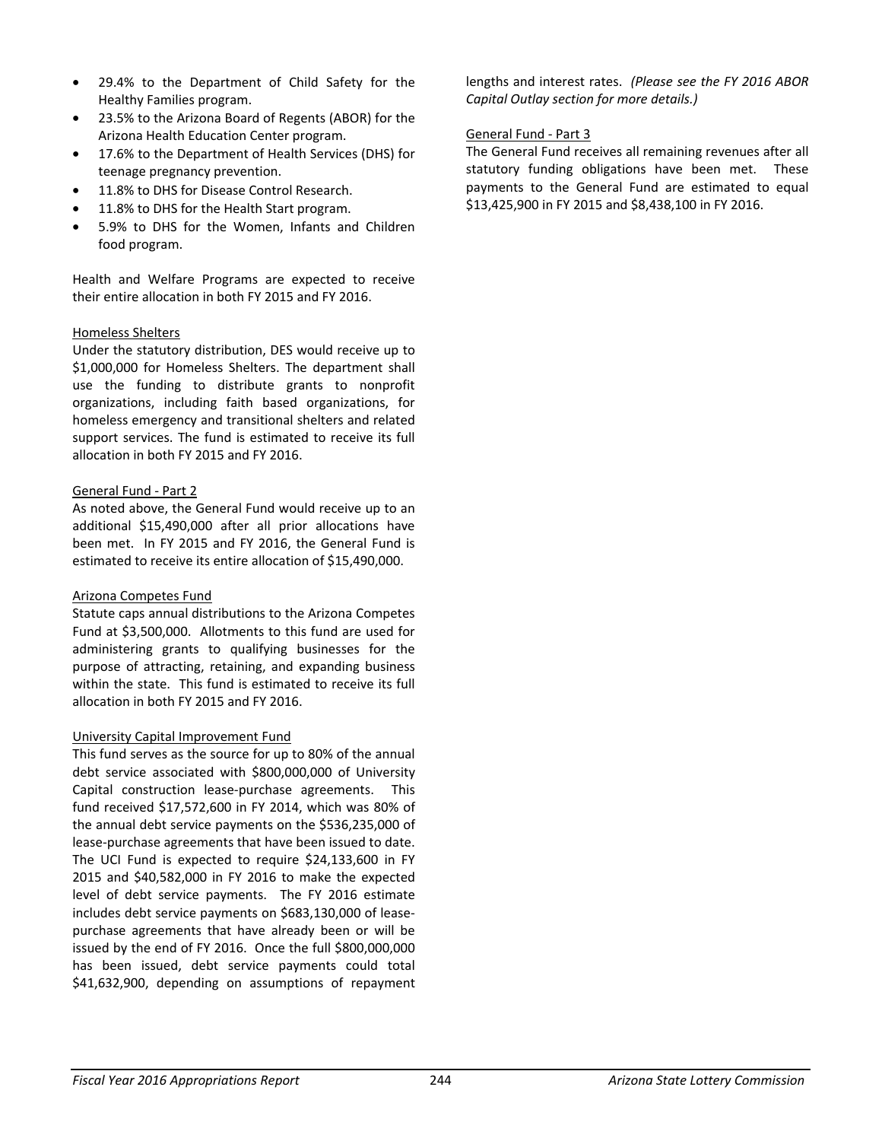- 29.4% to the Department of Child Safety for the Healthy Families program.
- 23.5% to the Arizona Board of Regents (ABOR) for the Arizona Health Education Center program.
- 17.6% to the Department of Health Services (DHS) for teenage pregnancy prevention.
- 11.8% to DHS for Disease Control Research.
- 11.8% to DHS for the Health Start program.
- 5.9% to DHS for the Women, Infants and Children food program.

Health and Welfare Programs are expected to receive their entire allocation in both FY 2015 and FY 2016.

# Homeless Shelters

Under the statutory distribution, DES would receive up to \$1,000,000 for Homeless Shelters. The department shall use the funding to distribute grants to nonprofit organizations, including faith based organizations, for homeless emergency and transitional shelters and related support services. The fund is estimated to receive its full allocation in both FY 2015 and FY 2016.

### General Fund - Part 2

As noted above, the General Fund would receive up to an additional \$15,490,000 after all prior allocations have been met. In FY 2015 and FY 2016, the General Fund is estimated to receive its entire allocation of \$15,490,000.

# Arizona Competes Fund

Statute caps annual distributions to the Arizona Competes Fund at \$3,500,000. Allotments to this fund are used for administering grants to qualifying businesses for the purpose of attracting, retaining, and expanding business within the state. This fund is estimated to receive its full allocation in both FY 2015 and FY 2016.

# University Capital Improvement Fund

This fund serves as the source for up to 80% of the annual debt service associated with \$800,000,000 of University Capital construction lease-purchase agreements. This fund received \$17,572,600 in FY 2014, which was 80% of the annual debt service payments on the \$536,235,000 of lease-purchase agreements that have been issued to date. The UCI Fund is expected to require \$24,133,600 in FY 2015 and \$40,582,000 in FY 2016 to make the expected level of debt service payments. The FY 2016 estimate includes debt service payments on \$683,130,000 of leasepurchase agreements that have already been or will be issued by the end of FY 2016. Once the full \$800,000,000 has been issued, debt service payments could total \$41,632,900, depending on assumptions of repayment

lengths and interest rates. *(Please see the FY 2016 ABOR Capital Outlay section for more details.)* 

## General Fund - Part 3

The General Fund receives all remaining revenues after all statutory funding obligations have been met. These payments to the General Fund are estimated to equal \$13,425,900 in FY 2015 and \$8,438,100 in FY 2016.